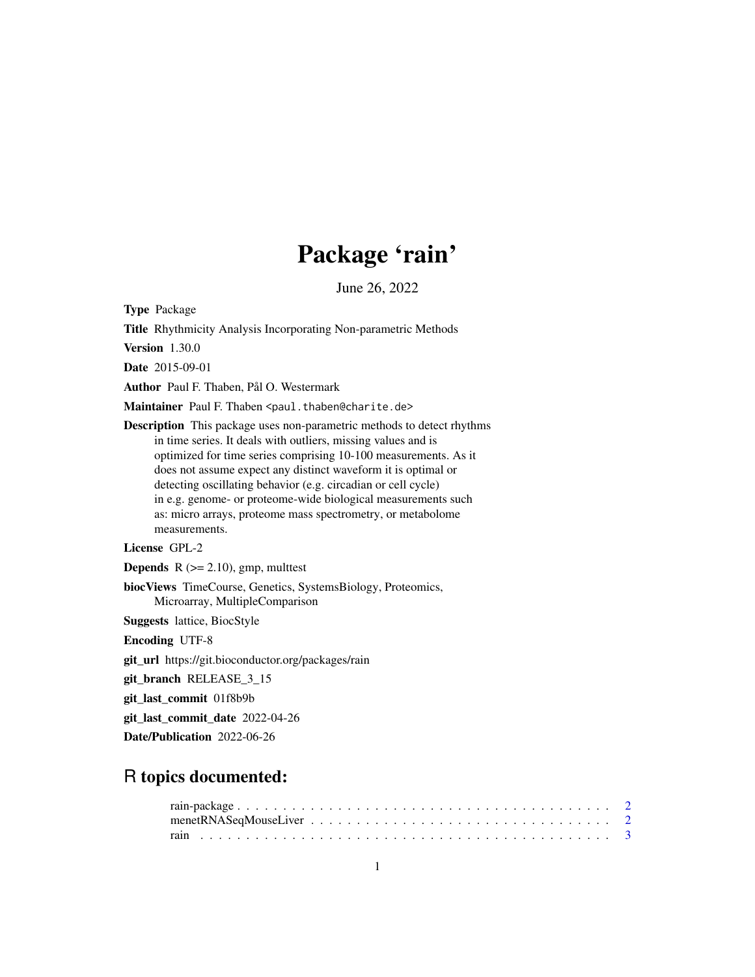## Package 'rain'

June 26, 2022

<span id="page-0-0"></span>Type Package

Title Rhythmicity Analysis Incorporating Non-parametric Methods

Version 1.30.0

Date 2015-09-01

Author Paul F. Thaben, Pål O. Westermark

Maintainer Paul F. Thaben <paul.thaben@charite.de>

Description This package uses non-parametric methods to detect rhythms in time series. It deals with outliers, missing values and is optimized for time series comprising 10-100 measurements. As it does not assume expect any distinct waveform it is optimal or detecting oscillating behavior (e.g. circadian or cell cycle) in e.g. genome- or proteome-wide biological measurements such as: micro arrays, proteome mass spectrometry, or metabolome measurements.

License GPL-2

**Depends** R  $(>= 2.10)$ , gmp, multtest

biocViews TimeCourse, Genetics, SystemsBiology, Proteomics, Microarray, MultipleComparison

Suggests lattice, BiocStyle

Encoding UTF-8

git\_url https://git.bioconductor.org/packages/rain

git\_branch RELEASE\_3\_15

git\_last\_commit 01f8b9b

git\_last\_commit\_date 2022-04-26

Date/Publication 2022-06-26

## R topics documented: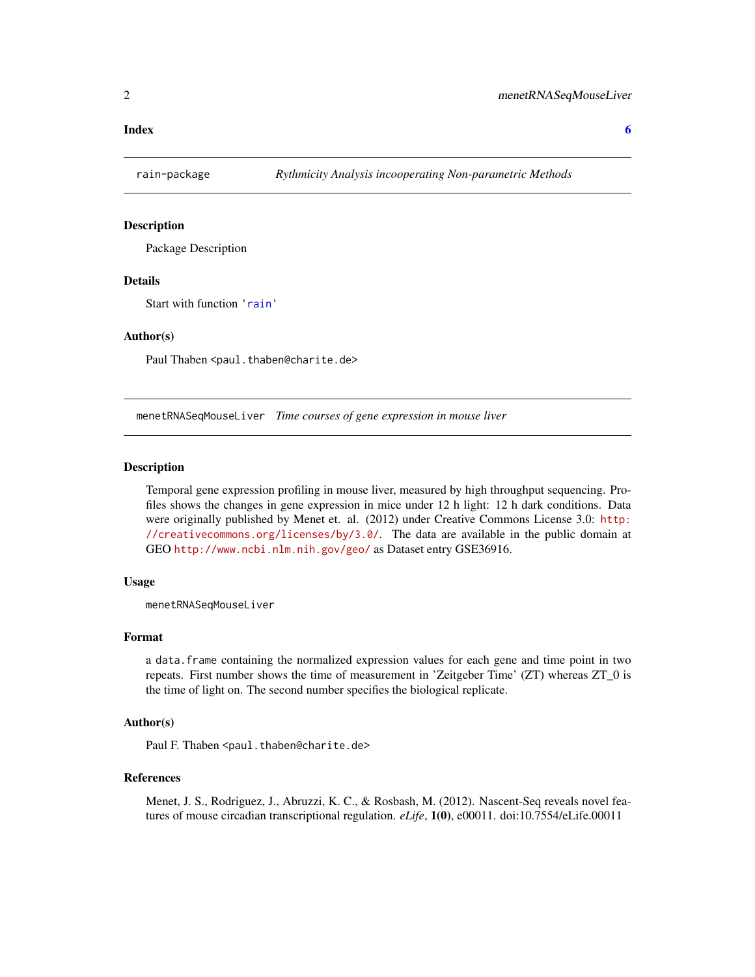#### <span id="page-1-0"></span>**Index** [6](#page-5-0) **6**

#### **Description**

Package Description

#### Details

Start with function '[rain](#page-2-1)'

#### Author(s)

Paul Thaben <paul.thaben@charite.de>

menetRNASeqMouseLiver *Time courses of gene expression in mouse liver*

#### Description

Temporal gene expression profiling in mouse liver, measured by high throughput sequencing. Profiles shows the changes in gene expression in mice under 12 h light: 12 h dark conditions. Data were originally published by Menet et. al. (2012) under Creative Commons License 3.0: [http:](http://creativecommons.org/licenses/by/3.0/) [//creativecommons.org/licenses/by/3.0/](http://creativecommons.org/licenses/by/3.0/). The data are available in the public domain at GEO <http://www.ncbi.nlm.nih.gov/geo/> as Dataset entry GSE36916.

#### Usage

menetRNASeqMouseLiver

#### Format

a data.frame containing the normalized expression values for each gene and time point in two repeats. First number shows the time of measurement in 'Zeitgeber Time' (ZT) whereas ZT\_0 is the time of light on. The second number specifies the biological replicate.

#### Author(s)

Paul F. Thaben <paul.thaben@charite.de>

#### **References**

Menet, J. S., Rodriguez, J., Abruzzi, K. C., & Rosbash, M. (2012). Nascent-Seq reveals novel features of mouse circadian transcriptional regulation. *eLife*, 1(0), e00011. doi:10.7554/eLife.00011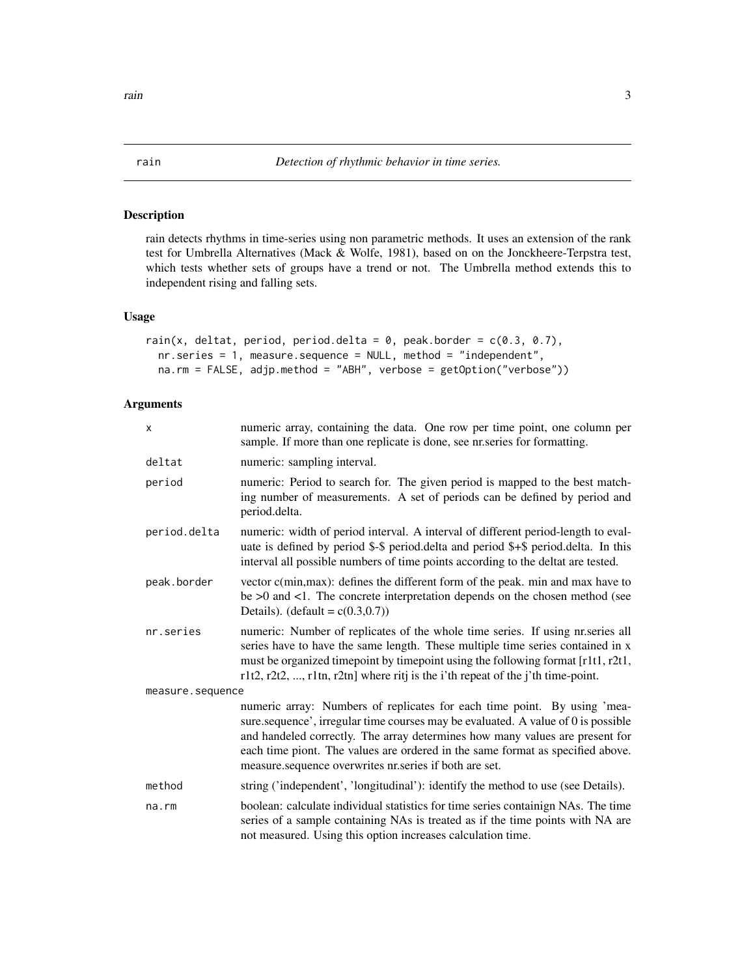#### <span id="page-2-1"></span><span id="page-2-0"></span>Description

rain detects rhythms in time-series using non parametric methods. It uses an extension of the rank test for Umbrella Alternatives (Mack & Wolfe, 1981), based on on the Jonckheere-Terpstra test, which tests whether sets of groups have a trend or not. The Umbrella method extends this to independent rising and falling sets.

#### Usage

```
rain(x, deltat, period, period.delta = 0, peak.border = c(0.3, 0.7),
 nr.series = 1, measure.sequence = NULL, method = "independent",
 na.rm = FALSE, adjp.method = "ABH", verbose = getOption("verbose"))
```
### Arguments

| X                | numeric array, containing the data. One row per time point, one column per<br>sample. If more than one replicate is done, see nr.series for formatting.                                                                                                                                                                                                                                   |  |
|------------------|-------------------------------------------------------------------------------------------------------------------------------------------------------------------------------------------------------------------------------------------------------------------------------------------------------------------------------------------------------------------------------------------|--|
| deltat           | numeric: sampling interval.                                                                                                                                                                                                                                                                                                                                                               |  |
| period           | numeric: Period to search for. The given period is mapped to the best match-<br>ing number of measurements. A set of periods can be defined by period and<br>period.delta.                                                                                                                                                                                                                |  |
| period.delta     | numeric: width of period interval. A interval of different period-length to eval-<br>uate is defined by period \$-\$ period.delta and period \$+\$ period.delta. In this<br>interval all possible numbers of time points according to the deltat are tested.                                                                                                                              |  |
| peak.border      | vector c(min, max): defines the different form of the peak. min and max have to<br>be $>0$ and $<1$ . The concrete interpretation depends on the chosen method (see<br>Details). (default = $c(0.3,0.7)$ )                                                                                                                                                                                |  |
| nr.series        | numeric: Number of replicates of the whole time series. If using nr. series all<br>series have to have the same length. These multiple time series contained in x<br>must be organized timepoint by timepoint using the following format [r1t1, r2t1,<br>r1t2, r2t2, , r1tn, r2tn] where ritj is the i'th repeat of the j'th time-point.                                                  |  |
| measure.sequence |                                                                                                                                                                                                                                                                                                                                                                                           |  |
|                  | numeric array: Numbers of replicates for each time point. By using 'mea-<br>sure.sequence', irregular time courses may be evaluated. A value of 0 is possible<br>and handeled correctly. The array determines how many values are present for<br>each time piont. The values are ordered in the same format as specified above.<br>measure.sequence overwrites nr.series if both are set. |  |
| method           | string ('independent', 'longitudinal'): identify the method to use (see Details).                                                                                                                                                                                                                                                                                                         |  |
| na.rm            | boolean: calculate individual statistics for time series containign NAs. The time<br>series of a sample containing NAs is treated as if the time points with NA are<br>not measured. Using this option increases calculation time.                                                                                                                                                        |  |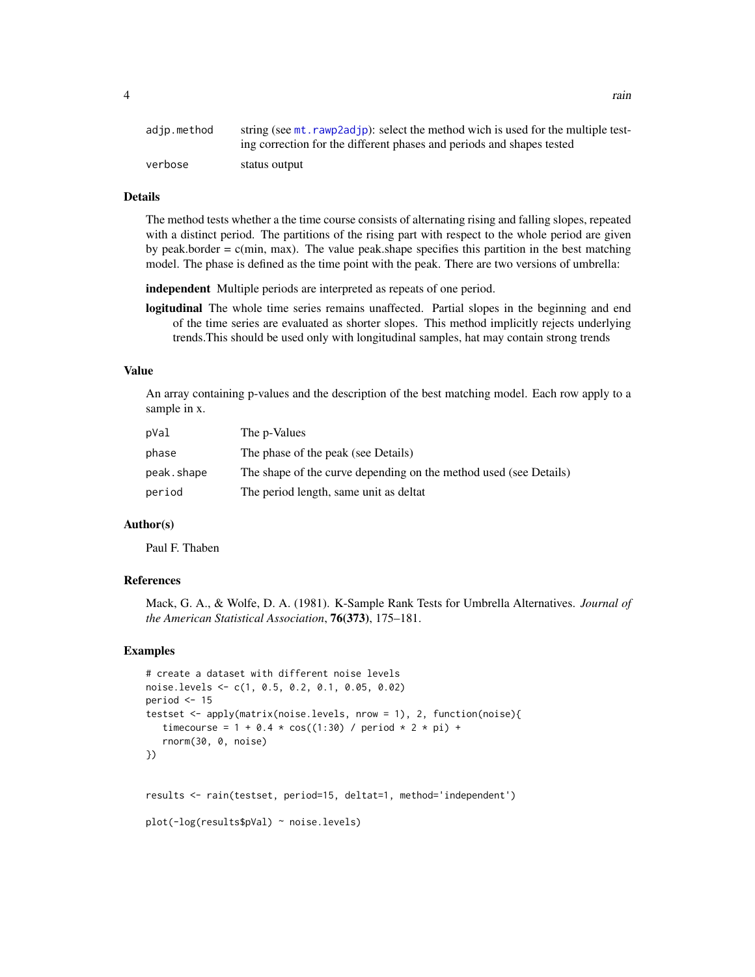<span id="page-3-0"></span>

| adjp.method | string (see mt, rawp2adjp): select the method wich is used for the multiple test- |
|-------------|-----------------------------------------------------------------------------------|
|             | ing correction for the different phases and periods and shapes tested             |
| verbose     | status output                                                                     |

#### Details

The method tests whether a the time course consists of alternating rising and falling slopes, repeated with a distinct period. The partitions of the rising part with respect to the whole period are given by peak.border  $= c(\text{min}, \text{max})$ . The value peak.shape specifies this partition in the best matching model. The phase is defined as the time point with the peak. There are two versions of umbrella:

independent Multiple periods are interpreted as repeats of one period.

logitudinal The whole time series remains unaffected. Partial slopes in the beginning and end of the time series are evaluated as shorter slopes. This method implicitly rejects underlying trends.This should be used only with longitudinal samples, hat may contain strong trends

#### Value

An array containing p-values and the description of the best matching model. Each row apply to a sample in x.

| pVal       | The p-Values                                                      |
|------------|-------------------------------------------------------------------|
| phase      | The phase of the peak (see Details)                               |
| peak.shape | The shape of the curve depending on the method used (see Details) |
| period     | The period length, same unit as deltat                            |

#### Author(s)

Paul F. Thaben

### References

Mack, G. A., & Wolfe, D. A. (1981). K-Sample Rank Tests for Umbrella Alternatives. *Journal of the American Statistical Association*, 76(373), 175–181.

#### Examples

```
# create a dataset with different noise levels
noise.levels <- c(1, 0.5, 0.2, 0.1, 0.05, 0.02)
period <-15testset <- apply(matrix(noise.levels, nrow = 1), 2, function(noise){
   timecourse = 1 + 0.4 * cos((1:30) / period * 2 * pi) +rnorm(30, 0, noise)
})
results <- rain(testset, period=15, deltat=1, method='independent')
plot(-log(results$pVal) ~ noise.levels)
```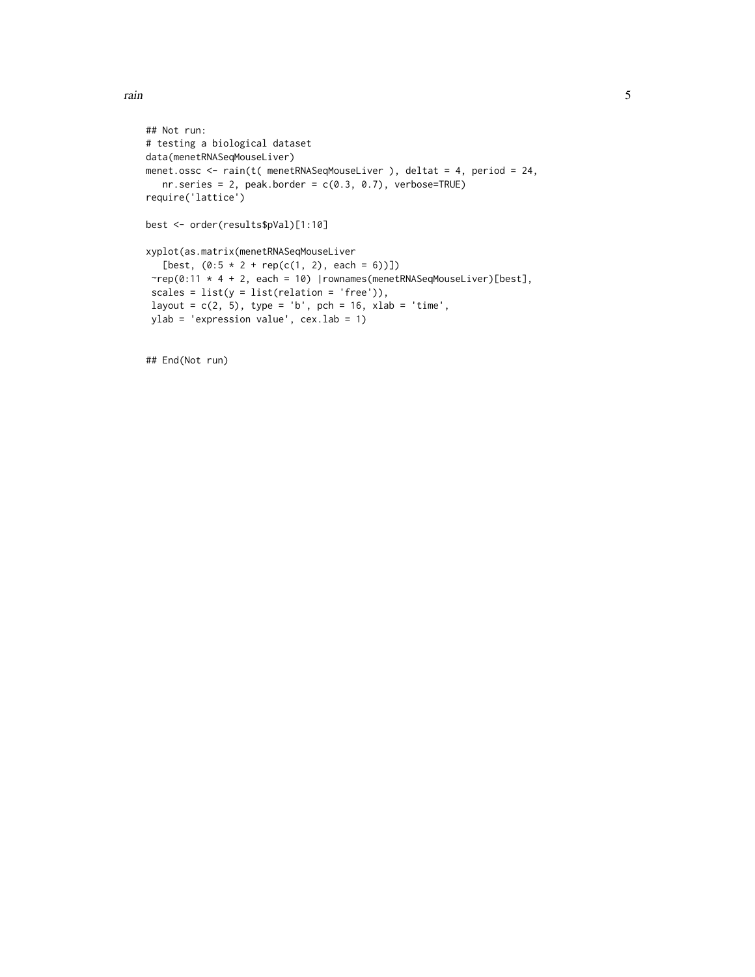rain 5

```
## Not run:
# testing a biological dataset
data(menetRNASeqMouseLiver)
menet.ossc <- rain(t( menetRNASeqMouseLiver ), deltat = 4, period = 24,
   nr.series = 2, peak.border = c(0.3, 0.7), verbose=TRUE)
require('lattice')
best <- order(results$pVal)[1:10]
xyplot(as.matrix(menetRNASeqMouseLiver
   [best, (0:5 * 2 + rep(c(1, 2), each = 6))]]
 rrep(0:11 * 4 + 2, each = 10) |rownames(menetRNASeqMouseliver)[best],scales = list(y = list(relation = 'free')),
 layout = c(2, 5), type = 'b', pch = 16, xlab = 'time',
 ylab = 'expression value', cex.lab = 1)
```
## End(Not run)